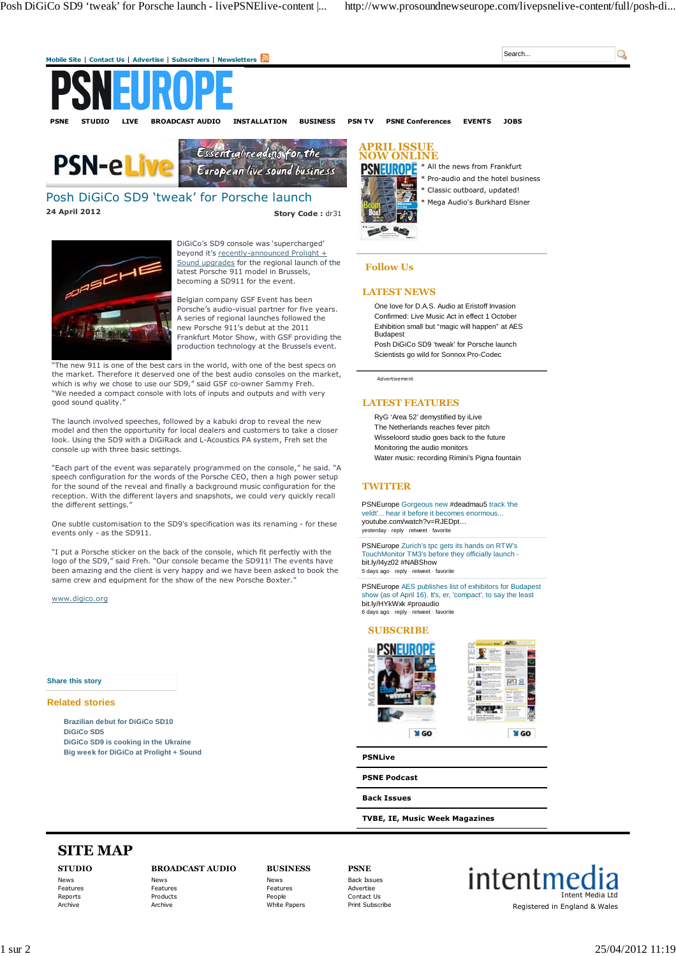

Belgian company GSF Event has been Porsche's audio-visual partner for five years. A series of regional launches followed the new Porsche 911's debut at the 2011 Frankfurt Motor Show, with GSF providing the production technology at the Brussels event.

"The new 911 is one of the best cars in the world, with one of the best specs on the market. Therefore it deserved one of the best audio consoles on the market, which is why we chose to use our SD9," said GSF co-owner Sammy Freh. "We needed a compact console with lots of inputs and outputs and with very good sound quality."

The launch involved speeches, followed by a kabuki drop to reveal the new model and then the opportunity for local dealers and customers to take a closer look. Using the SD9 with a DiGiRack and L-Acoustics PA system, Freh set the console up with three basic settings.

"Each part of the event was separately programmed on the console," he said. "A speech configuration for the words of the Porsche CEO, then a high power setup for the sound of the reveal and finally a background music configuration for the reception. With the different layers and snapshots, we could very quickly recall the different settings."

One subtle customisation to the SD9's specification was its renaming - for these events only - as the SD911.

"I put a Porsche sticker on the back of the console, which fit perfectly with the logo of the SD9," said Freh. "Our console became the SD911! The events have been amazing and the client is very happy and we have been asked to book the same crew and equipment for the show of the new Porsche Boxter.

#### www.digico.org

# **Share this story**

# **Related stories**

**Brazilian debut for DiGiCo SD10 DiGiCo SD5 DiGiCo SD9 is cooking in the Ukraine Big week for DiGiCo at Prolight + Sound**

One love for D.A.S. Audio at Eristoff Invasion Confirmed: Live Music Act in effect 1 October Exhibition small but "magic will happen" at AES Budapest

Posh DiGiCo SD9 'tweak' for Porsche launch Scientists go wild for Sonnox Pro-Codec

Advertisement

# **LATEST FEATURES**

RyG 'Area 52' demystified by iLive The Netherlands reaches fever pitch Wisseloord studio goes back to the future Monitoring the audio monitors Water music: recording Rimini's Pigna fountain

## **TWITTER**

PSNEurope Gorgeous new #deadmau5 track 'the veldt'... hear it before it becomes enormous... youtube.com/watch?v=RJEDpt… yesterday · reply · retweet · favorite

PSNEurope Zurich's tpc gets its hands on RTW's TouchMonitor TM3's before they officially launch bit.ly/I4yz02 #NABShow 5 days ago · reply · retweet · favorite

PSNEurope AES publishes list of exhibitors for Budapest show (as of April 16). It's, er, 'compact', to say the least<br>bit.ly/HYkWxk #proaudio 6 days ago · reply · retweet · favorite

### **SUBSCRIBE**



**PSNLive**

**PSNE Podcast**

**Back Issues**

**TVBE, IE, Music Week Magazines**

# **SITE MAP**

**STUDIO** News Features Reports Archive

#### **BROADCAST AUDIO** News

Features Products Archive

**BUSINESS** News Features People White Papers

**PSNE** Back Issues Advertise Contact Us

Print Subscribe

intentmed Intent Media Ltd Registered in England & Wales